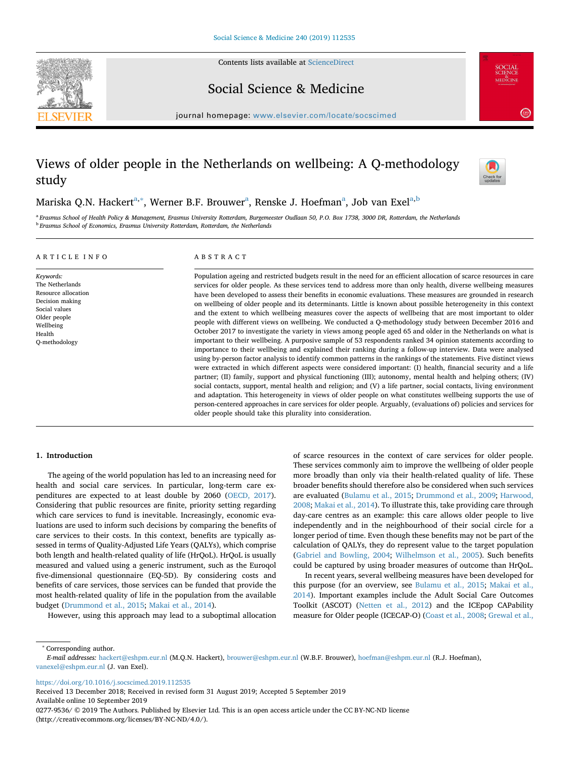Contents lists available at [ScienceDirect](http://www.sciencedirect.com/science/journal/02779536)





journal homepage: [www.elsevier.com/locate/socscimed](https://www.elsevier.com/locate/socscimed)

# Views of older people in the Netherlands on wellbeing: A Q-methodology study



# Mariska Q.N. Hackert<sup>[a,](#page-0-0)[∗](#page-0-1)</sup>, Werner B.F. Brouwer<sup>[a](#page-0-0)</sup>, Renske J. Hoefman<sup>a</sup>, Jo[b](#page-0-2) van Exel<sup>a,b</sup>

<span id="page-0-2"></span><span id="page-0-0"></span><sup>a</sup> *Erasmus School of Health Policy & Management, Erasmus University Rotterdam, Burgemeester Oudlaan 50, P.O. Box 1738, 3000 DR, Rotterdam, the Netherlands* <sup>b</sup> *Erasmus School of Economics, Erasmus University Rotterdam, Rotterdam, the Netherlands*

# ARTICLE INFO

*Keywords:* The Netherlands Resource allocation Decision making Social values Older people Wellbeing Health Q-methodology

# ABSTRACT

Population ageing and restricted budgets result in the need for an efficient allocation of scarce resources in care services for older people. As these services tend to address more than only health, diverse wellbeing measures have been developed to assess their benefits in economic evaluations. These measures are grounded in research on wellbeing of older people and its determinants. Little is known about possible heterogeneity in this context and the extent to which wellbeing measures cover the aspects of wellbeing that are most important to older people with different views on wellbeing. We conducted a Q-methodology study between December 2016 and October 2017 to investigate the variety in views among people aged 65 and older in the Netherlands on what is important to their wellbeing. A purposive sample of 53 respondents ranked 34 opinion statements according to importance to their wellbeing and explained their ranking during a follow-up interview. Data were analysed using by-person factor analysis to identify common patterns in the rankings of the statements. Five distinct views were extracted in which different aspects were considered important: (I) health, financial security and a life partner; (II) family, support and physical functioning (III); autonomy, mental health and helping others; (IV) social contacts, support, mental health and religion; and (V) a life partner, social contacts, living environment and adaptation. This heterogeneity in views of older people on what constitutes wellbeing supports the use of person-centered approaches in care services for older people. Arguably, (evaluations of) policies and services for older people should take this plurality into consideration.

### **1. Introduction**

The ageing of the world population has led to an increasing need for health and social care services. In particular, long-term care expenditures are expected to at least double by 2060 [\(OECD, 2017](#page-8-0)). Considering that public resources are finite, priority setting regarding which care services to fund is inevitable. Increasingly, economic evaluations are used to inform such decisions by comparing the benefits of care services to their costs. In this context, benefits are typically assessed in terms of Quality-Adjusted Life Years (QALYs), which comprise both length and health-related quality of life (HrQoL). HrQoL is usually measured and valued using a generic instrument, such as the Euroqol five-dimensional questionnaire (EQ-5D). By considering costs and benefits of care services, those services can be funded that provide the most health-related quality of life in the population from the available budget ([Drummond et al., 2015](#page-8-1); [Makai et al., 2014](#page-8-2)).

However, using this approach may lead to a suboptimal allocation

of scarce resources in the context of care services for older people. These services commonly aim to improve the wellbeing of older people more broadly than only via their health-related quality of life. These broader benefits should therefore also be considered when such services are evaluated ([Bulamu et al., 2015](#page-8-3); [Drummond et al., 2009](#page-8-4); [Harwood,](#page-8-5) [2008;](#page-8-5) [Makai et al., 2014\)](#page-8-2). To illustrate this, take providing care through day-care centres as an example: this care allows older people to live independently and in the neighbourhood of their social circle for a longer period of time. Even though these benefits may not be part of the calculation of QALYs, they do represent value to the target population ([Gabriel and Bowling, 2004;](#page-8-6) [Wilhelmson et al., 2005\)](#page-8-7). Such benefits could be captured by using broader measures of outcome than HrQoL.

In recent years, several wellbeing measures have been developed for this purpose (for an overview, see [Bulamu et al., 2015](#page-8-3); [Makai et al.,](#page-8-2) [2014\)](#page-8-2). Important examples include the Adult Social Care Outcomes Toolkit (ASCOT) [\(Netten et al., 2012](#page-8-8)) and the ICEpop CAPability measure for Older people (ICECAP-O) ([Coast et al., 2008](#page-8-9); [Grewal et al.,](#page-8-10)

<span id="page-0-1"></span><sup>∗</sup> Corresponding author.

*E-mail addresses:* [hackert@eshpm.eur.nl](mailto:hackert@eshpm.eur.nl) (M.Q.N. Hackert), [brouwer@eshpm.eur.nl](mailto:brouwer@eshpm.eur.nl) (W.B.F. Brouwer), [hoefman@eshpm.eur.nl](mailto:hoefman@eshpm.eur.nl) (R.J. Hoefman), [vanexel@eshpm.eur.nl](mailto:vanexel@eshpm.eur.nl) (J. van Exel).

<https://doi.org/10.1016/j.socscimed.2019.112535>

Received 13 December 2018; Received in revised form 31 August 2019; Accepted 5 September 2019 Available online 10 September 2019 0277-9536/ © 2019 The Authors. Published by Elsevier Ltd. This is an open access article under the CC BY-NC-ND license (http://creativecommons.org/licenses/BY-NC-ND/4.0/).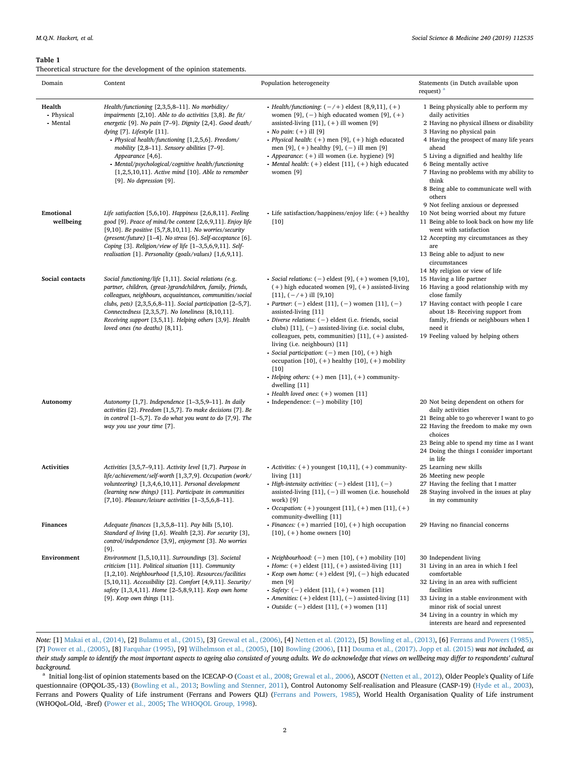#### <span id="page-1-1"></span>**Table 1**

Theoretical structure for the development of the opinion statements.

| Domain                           | Content                                                                                                                                                                                                                                                                                                                                                                                                                                                                                | Population heterogeneity                                                                                                                                                                                                                                                                                                                                                                                                                                                                                                                                                                                                                                                                                                | Statements (in Dutch available upon<br>request) $a$                                                                                                                                                                                                                                                                                                                  |
|----------------------------------|----------------------------------------------------------------------------------------------------------------------------------------------------------------------------------------------------------------------------------------------------------------------------------------------------------------------------------------------------------------------------------------------------------------------------------------------------------------------------------------|-------------------------------------------------------------------------------------------------------------------------------------------------------------------------------------------------------------------------------------------------------------------------------------------------------------------------------------------------------------------------------------------------------------------------------------------------------------------------------------------------------------------------------------------------------------------------------------------------------------------------------------------------------------------------------------------------------------------------|----------------------------------------------------------------------------------------------------------------------------------------------------------------------------------------------------------------------------------------------------------------------------------------------------------------------------------------------------------------------|
| Health<br>- Physical<br>- Mental | Health/functioning [2,3,5,8-11]. No morbidity/<br>impairments $[2,10]$ . Able to do activities $[3,8]$ . Be fit/<br>energetic [9]. No pain [7-9]. Dignity [2,4]. Good death/<br>dying [7]. Lifestyle [11].<br>- Physical health/functioning [1,2,5,6]. Freedom/<br>mobility [2,8-11]. Sensory abilities [7-9].<br>Appearance [4,6].<br>- Mental/psychological/cognitive health/functioning<br>$[1,2,5,10,11]$ . Active mind $[10]$ . Able to remember<br>$[9]$ . No depression $[9]$ . | - Health/functioning: $(-/+)$ eldest [8,9,11], $(+)$<br>women $[9]$ , $(-)$ high educated women $[9]$ , $(+)$<br>assisted-living $[11]$ , $(+)$ ill women $[9]$<br>• <i>No pain</i> : $(+)$ ill [9]<br>- <i>Physical health</i> : $(+)$ men [9], $(+)$ high educated<br>men [9], $(+)$ healthy [9], $(-)$ ill men [9]<br>- <i>Appearance</i> : (+) ill women (i.e. hygiene) [9]<br>• Mental health: $(+)$ eldest $[11]$ , $(+)$ high educated<br>women [9]                                                                                                                                                                                                                                                              | 1 Being physically able to perform my<br>daily activities<br>2 Having no physical illness or disability<br>3 Having no physical pain<br>4 Having the prospect of many life years<br>ahead<br>5 Living a dignified and healthy life<br>6 Being mentally active<br>7 Having no problems with my ability to<br>think<br>8 Being able to communicate well with<br>others |
| Emotional<br>wellbeing           | Life satisfaction [5,6,10]. Happiness [2,6,8,11]. Feeling<br>good [9]. Peace of mind/be content [2,6,9,11]. Enjoy life<br>$[9,10]$ . Be positive $[5,7,8,10,11]$ . No worries/security<br>(present/future) [1-4]. No stress [6]. Self-acceptance [6].<br>Coping [3]. Religion/view of life [1-3,5,6,9,11]. Self-<br>realisation [1]. Personality (goals/values) [1,6,9,11].                                                                                                            | - Life satisfaction/happiness/enjoy life: $(+)$ healthy<br>$[10]$                                                                                                                                                                                                                                                                                                                                                                                                                                                                                                                                                                                                                                                       | 9 Not feeling anxious or depressed<br>10 Not being worried about my future<br>11 Being able to look back on how my life<br>went with satisfaction<br>12 Accepting my circumstances as they<br>are<br>13 Being able to adjust to new<br>circumstances<br>14 My religion or view of life                                                                               |
| Social contacts                  | Social functioning/life [1,11]. Social relations (e.g.<br>partner, children, (great-)grandchildren, family, friends,<br>colleagues, neighbours, acquaintances, communities/social<br>clubs, pets) [2,3,5,6,8-11]. Social participation [2-5,7].<br>Connectedness [2,3,5,7]. No loneliness [8,10,11].<br>Receiving support [3,5,11]. Helping others [3,9]. Health<br>loved ones (no deaths) $[8,11]$ .                                                                                  | - Social relations: $(-)$ eldest [9], $(+)$ women [9,10],<br>$(+)$ high educated women [9], $(+)$ assisted-living<br>$[11]$ , $(-/+)$ ill $[9,10]$<br>• <i>Partner</i> : $(-)$ eldest [11], $(-)$ women [11], $(-)$<br>assisted-living [11]<br>- Diverse relations: $(-)$ eldest (i.e. friends, social<br>clubs) $[11]$ , $(-)$ assisted-living (i.e. social clubs,<br>colleagues, pets, communities) $[11]$ , $(+)$ assisted-<br>living (i.e. neighbours) [11]<br>- Social participation: $(-)$ men $[10]$ , $(+)$ high<br>occupation $[10]$ , $(+)$ healthy $[10]$ , $(+)$ mobility<br>[10]<br>- <i>Helping others:</i> $(+)$ men $[11]$ , $(+)$ community-<br>dwelling [11]<br>- Health loved ones: $(+)$ women [11] | 15 Having a life partner<br>16 Having a good relationship with my<br>close family<br>17 Having contact with people I care<br>about 18- Receiving support from<br>family, friends or neighbours when I<br>need it<br>19 Feeling valued by helping others                                                                                                              |
| Autonomy                         | Autonomy [1,7]. Independence [1-3,5,9-11]. In daily<br>activities [2]. Freedom [1,5,7]. To make decisions [7]. Be<br>in control $[1-5,7]$ . To do what you want to do $[7,9]$ . The<br>way you use your time [7].                                                                                                                                                                                                                                                                      | - Independence: $(-)$ mobility [10]                                                                                                                                                                                                                                                                                                                                                                                                                                                                                                                                                                                                                                                                                     | 20 Not being dependent on others for<br>daily activities<br>21 Being able to go wherever I want to go<br>22 Having the freedom to make my own<br>choices<br>23 Being able to spend my time as I want<br>24 Doing the things I consider important<br>in life                                                                                                          |
| <b>Activities</b>                | Activities [3,5,7-9,11]. Activity level [1,7]. Purpose in<br>life/achievement/self-worth [1,3,7,9]. Occupation (work/<br>volunteering) [1,3,4,6,10,11]. Personal development<br>(learning new things) [11]. Participate in communities<br>[7,10]. Pleasure/leisure activities $[1-3,5,6,8-11]$ .                                                                                                                                                                                       | - Activities: $(+)$ youngest [10,11], $(+)$ community-<br>living $[11]$<br>- High-intensity activities: $(-)$ eldest $[11]$ , $(-)$<br>assisted-living $[11]$ , $(-)$ ill women (i.e. household<br>work) [9]<br>• Occupation: $(+)$ youngest $[11]$ , $(+)$ men $[11]$ , $(+)$<br>community-dwelling [11]                                                                                                                                                                                                                                                                                                                                                                                                               | 25 Learning new skills<br>26 Meeting new people<br>27 Having the feeling that I matter<br>28 Staying involved in the issues at play<br>in my community                                                                                                                                                                                                               |
| <b>Finances</b>                  | Adequate finances [1,3,5,8-11]. Pay bills [5,10].<br>Standard of living [1,6]. Wealth [2,3]. For security [3],<br>control/independence [3,9], enjoyment [3]. No worries<br>$[9]$ .                                                                                                                                                                                                                                                                                                     | - Finances: $(+)$ married $[10]$ , $(+)$ high occupation<br>$[10]$ , $(+)$ home owners $[10]$                                                                                                                                                                                                                                                                                                                                                                                                                                                                                                                                                                                                                           | 29 Having no financial concerns                                                                                                                                                                                                                                                                                                                                      |
| Environment                      | Environment [1,5,10,11]. Surroundings [3]. Societal<br>criticism [11]. Political situation [11]. Community<br>[1,2,10]. Neighbourhood [1,5,10]. Resources/facilities<br>[5,10,11]. Accessibility [2]. Comfort [4,9,11]. Security/<br>safety [1,3,4,11]. Home [2-5,8,9,11]. Keep own home<br>$[9]$ . Keep own things $[11]$ .                                                                                                                                                           | - <i>Neighbourhood</i> : $(-)$ men [10], $(+)$ mobility [10]<br>- Home: $(+)$ eldest $[11]$ , $(+)$ assisted-living $[11]$<br>- Keep own home: $(+)$ eldest [9], $(-)$ high educated<br>men [9]<br>- <i>Safety</i> : $(-)$ eldest [11], $(+)$ women [11]<br>- Amenities: $(+)$ eldest $[11]$ , $(-)$ assisted-living $[11]$<br>• <i>Outside:</i> $(-)$ eldest $[11]$ , $(+)$ women $[11]$                                                                                                                                                                                                                                                                                                                               | 30 Independent living<br>31 Living in an area in which I feel<br>comfortable<br>32 Living in an area with sufficient<br>facilities<br>33 Living in a stable environment with<br>minor risk of social unrest<br>34 Living in a country in which my<br>interests are heard and represented                                                                             |

*Note:* [1] [Makai et al., \(2014\)](#page-8-2), [2] [Bulamu et al., \(2015\)](#page-8-3), [3] [Grewal et al., \(2006\)](#page-8-10), [4] [Netten et al. \(2012\),](#page-8-8) [5] [Bowling et al., \(2013\),](#page-8-11) [6] [Ferrans and Powers \(1985\),](#page-8-12) [7] [Power et al., \(2005\),](#page-8-13) [8] [Farquhar \(1995\),](#page-8-14) [9] [Wilhelmson et al., \(2005\),](#page-8-7) [10] [Bowling \(2006\)](#page-8-15), [11] [Douma et al., \(2017\)](#page-8-16). [Jopp et al. \(2015\)](#page-8-17) *was not included, as their study sample to identify the most important aspects to ageing also consisted of young adults. We do acknowledge that views on wellbeing may differ to respondents' cultural background.*

<span id="page-1-0"></span><sup>a</sup> Initial long-list of opinion statements based on the ICECAP-O ([Coast et al., 2008;](#page-8-9) [Grewal et al., 2006\)](#page-8-10), ASCOT [\(Netten et al., 2012](#page-8-8)), Older People's Quality of Life questionnaire (OPQOL-35,-13) [\(Bowling et al., 2013](#page-8-11); [Bowling and Stenner, 2011](#page-8-18)), Control Autonomy Self-realisation and Pleasure (CASP-19) [\(Hyde et al., 2003\)](#page-8-19), Ferrans and Powers Quality of Life instrument (Ferrans and Powers QLI) ([Ferrans and Powers, 1985](#page-8-12)), World Health Organisation Quality of Life instrument (WHOQoL-Old, -Bref) ([Power et al., 2005;](#page-8-13) [The WHOQOL Group, 1998\)](#page-8-20).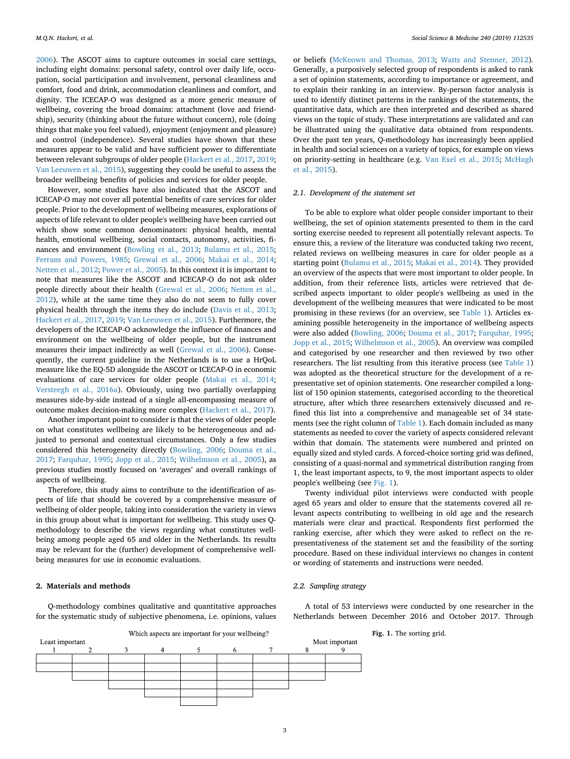[2006\)](#page-8-10). The ASCOT aims to capture outcomes in social care settings, including eight domains: personal safety, control over daily life, occupation, social participation and involvement, personal cleanliness and comfort, food and drink, accommodation cleanliness and comfort, and dignity. The ICECAP-O was designed as a more generic measure of wellbeing, covering the broad domains: attachment (love and friendship), security (thinking about the future without concern), role (doing things that make you feel valued), enjoyment (enjoyment and pleasure) and control (independence). Several studies have shown that these measures appear to be valid and have sufficient power to differentiate between relevant subgroups of older people [\(Hackert et al., 2017](#page-8-21), [2019](#page-8-22); [Van Leeuwen et al., 2015\)](#page-8-23), suggesting they could be useful to assess the broader wellbeing benefits of policies and services for older people.

However, some studies have also indicated that the ASCOT and ICECAP-O may not cover all potential benefits of care services for older people. Prior to the development of wellbeing measures, explorations of aspects of life relevant to older people's wellbeing have been carried out which show some common denominators: physical health, mental health, emotional wellbeing, social contacts, autonomy, activities, finances and environment ([Bowling et al., 2013;](#page-8-11) [Bulamu et al., 2015](#page-8-3); [Ferrans and Powers, 1985;](#page-8-12) [Grewal et al., 2006;](#page-8-10) [Makai et al., 2014](#page-8-2); [Netten et al., 2012;](#page-8-8) [Power et al., 2005\)](#page-8-13). In this context it is important to note that measures like the ASCOT and ICECAP-O do not ask older people directly about their health ([Grewal et al., 2006;](#page-8-10) [Netten et al.,](#page-8-8) [2012\)](#page-8-8), while at the same time they also do not seem to fully cover physical health through the items they do include [\(Davis et al., 2013](#page-8-24); [Hackert et al., 2017,](#page-8-21) [2019;](#page-8-22) [Van Leeuwen et al., 2015\)](#page-8-23). Furthermore, the developers of the ICECAP-O acknowledge the influence of finances and environment on the wellbeing of older people, but the instrument measures their impact indirectly as well ([Grewal et al., 2006](#page-8-10)). Consequently, the current guideline in the Netherlands is to use a HrQoL measure like the EQ-5D alongside the ASCOT or ICECAP-O in economic evaluations of care services for older people [\(Makai et al., 2014](#page-8-2); [Versteegh et al., 2016a](#page-8-25)). Obviously, using two partially overlapping measures side-by-side instead of a single all-encompassing measure of outcome makes decision-making more complex ([Hackert et al., 2017\)](#page-8-21).

Another important point to consider is that the views of older people on what constitutes wellbeing are likely to be heterogeneous and adjusted to personal and contextual circumstances. Only a few studies considered this heterogeneity directly ([Bowling, 2006](#page-8-15); [Douma et al.,](#page-8-16) [2017;](#page-8-16) [Farquhar, 1995;](#page-8-14) [Jopp et al., 2015](#page-8-17); [Wilhelmson et al., 2005](#page-8-7)), as previous studies mostly focused on 'averages' and overall rankings of aspects of wellbeing.

Therefore, this study aims to contribute to the identification of aspects of life that should be covered by a comprehensive measure of wellbeing of older people, taking into consideration the variety in views in this group about what is important for wellbeing. This study uses Qmethodology to describe the views regarding what constitutes wellbeing among people aged 65 and older in the Netherlands. Its results may be relevant for the (further) development of comprehensive wellbeing measures for use in economic evaluations.

### **2. Materials and methods**

Q-methodology combines qualitative and quantitative approaches for the systematic study of subjective phenomena, i.e. opinions, values

or beliefs ([McKeown and Thomas, 2013;](#page-8-26) [Watts and Stenner, 2012](#page-8-27)). Generally, a purposively selected group of respondents is asked to rank a set of opinion statements, according to importance or agreement, and to explain their ranking in an interview. By-person factor analysis is used to identify distinct patterns in the rankings of the statements, the quantitative data, which are then interpreted and described as shared views on the topic of study. These interpretations are validated and can be illustrated using the qualitative data obtained from respondents. Over the past ten years, Q-methodology has increasingly been applied in health and social sciences on a variety of topics, for example on views on priority-setting in healthcare (e.g. [Van Exel et al., 2015](#page-8-28); [McHugh](#page-8-29) [et al., 2015](#page-8-29)).

#### *2.1. Development of the statement set*

To be able to explore what older people consider important to their wellbeing, the set of opinion statements presented to them in the card sorting exercise needed to represent all potentially relevant aspects. To ensure this, a review of the literature was conducted taking two recent, related reviews on wellbeing measures in care for older people as a starting point ([Bulamu et al., 2015;](#page-8-3) [Makai et al., 2014\)](#page-8-2). They provided an overview of the aspects that were most important to older people. In addition, from their reference lists, articles were retrieved that described aspects important to older people's wellbeing as used in the development of the wellbeing measures that were indicated to be most promising in these reviews (for an overview, see [Table 1\)](#page-1-1). Articles examining possible heterogeneity in the importance of wellbeing aspects were also added [\(Bowling, 2006;](#page-8-15) [Douma et al., 2017;](#page-8-16) [Farquhar, 1995](#page-8-14); [Jopp et al., 2015](#page-8-17); [Wilhelmson et al., 2005\)](#page-8-7). An overview was compiled and categorised by one researcher and then reviewed by two other researchers. The list resulting from this iterative process (see [Table 1\)](#page-1-1) was adopted as the theoretical structure for the development of a representative set of opinion statements. One researcher compiled a longlist of 150 opinion statements, categorised according to the theoretical structure, after which three researchers extensively discussed and refined this list into a comprehensive and manageable set of 34 statements (see the right column of [Table 1](#page-1-1)). Each domain included as many statements as needed to cover the variety of aspects considered relevant within that domain. The statements were numbered and printed on equally sized and styled cards. A forced-choice sorting grid was defined, consisting of a quasi-normal and symmetrical distribution ranging from 1, the least important aspects, to 9, the most important aspects to older people's wellbeing (see [Fig. 1](#page-2-0)).

Twenty individual pilot interviews were conducted with people aged 65 years and older to ensure that the statements covered all relevant aspects contributing to wellbeing in old age and the research materials were clear and practical. Respondents first performed the ranking exercise, after which they were asked to reflect on the representativeness of the statement set and the feasibility of the sorting procedure. Based on these individual interviews no changes in content or wording of statements and instructions were needed.

### *2.2. Sampling strategy*

A total of 53 interviews were conducted by one researcher in the Netherlands between December 2016 and October 2017. Through

<span id="page-2-0"></span>

**Fig. 1.** The sorting grid.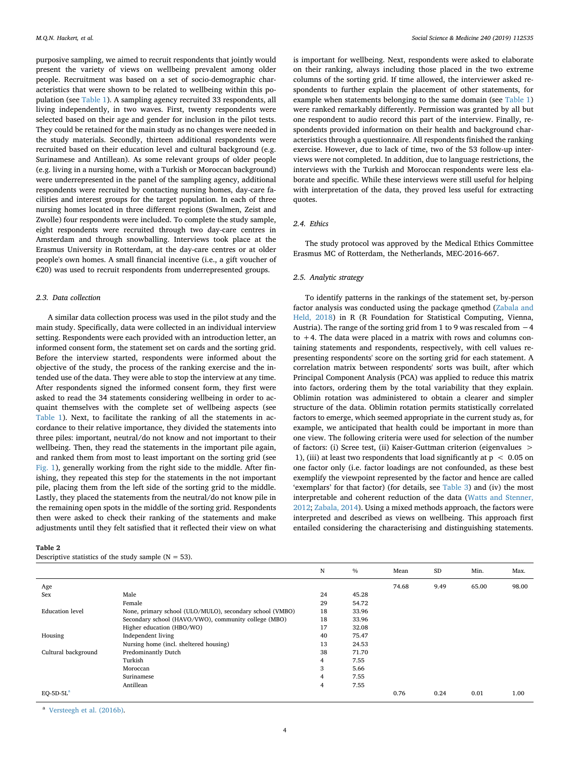purposive sampling, we aimed to recruit respondents that jointly would present the variety of views on wellbeing prevalent among older people. Recruitment was based on a set of socio-demographic characteristics that were shown to be related to wellbeing within this population (see [Table 1\)](#page-1-1). A sampling agency recruited 33 respondents, all living independently, in two waves. First, twenty respondents were selected based on their age and gender for inclusion in the pilot tests. They could be retained for the main study as no changes were needed in the study materials. Secondly, thirteen additional respondents were recruited based on their education level and cultural background (e.g. Surinamese and Antillean). As some relevant groups of older people (e.g. living in a nursing home, with a Turkish or Moroccan background) were underrepresented in the panel of the sampling agency, additional respondents were recruited by contacting nursing homes, day-care facilities and interest groups for the target population. In each of three nursing homes located in three different regions (Swalmen, Zeist and Zwolle) four respondents were included. To complete the study sample, eight respondents were recruited through two day-care centres in Amsterdam and through snowballing. Interviews took place at the Erasmus University in Rotterdam, at the day-care centres or at older people's own homes. A small financial incentive (i.e., a gift voucher of €20) was used to recruit respondents from underrepresented groups.

#### *2.3. Data collection*

A similar data collection process was used in the pilot study and the main study. Specifically, data were collected in an individual interview setting. Respondents were each provided with an introduction letter, an informed consent form, the statement set on cards and the sorting grid. Before the interview started, respondents were informed about the objective of the study, the process of the ranking exercise and the intended use of the data. They were able to stop the interview at any time. After respondents signed the informed consent form, they first were asked to read the 34 statements considering wellbeing in order to acquaint themselves with the complete set of wellbeing aspects (see [Table 1](#page-1-1)). Next, to facilitate the ranking of all the statements in accordance to their relative importance, they divided the statements into three piles: important, neutral/do not know and not important to their wellbeing. Then, they read the statements in the important pile again, and ranked them from most to least important on the sorting grid (see [Fig. 1\)](#page-2-0), generally working from the right side to the middle. After finishing, they repeated this step for the statements in the not important pile, placing them from the left side of the sorting grid to the middle. Lastly, they placed the statements from the neutral/do not know pile in the remaining open spots in the middle of the sorting grid. Respondents then were asked to check their ranking of the statements and make adjustments until they felt satisfied that it reflected their view on what

#### <span id="page-3-1"></span>**Table 2**

Descriptive statistics of the study sample ( $N = 53$ ).

is important for wellbeing. Next, respondents were asked to elaborate on their ranking, always including those placed in the two extreme columns of the sorting grid. If time allowed, the interviewer asked respondents to further explain the placement of other statements, for example when statements belonging to the same domain (see [Table 1\)](#page-1-1) were ranked remarkably differently. Permission was granted by all but one respondent to audio record this part of the interview. Finally, respondents provided information on their health and background characteristics through a questionnaire. All respondents finished the ranking exercise. However, due to lack of time, two of the 53 follow-up interviews were not completed. In addition, due to language restrictions, the interviews with the Turkish and Moroccan respondents were less elaborate and specific. While these interviews were still useful for helping with interpretation of the data, they proved less useful for extracting quotes.

## *2.4. Ethics*

The study protocol was approved by the Medical Ethics Committee Erasmus MC of Rotterdam, the Netherlands, MEC-2016-667.

#### *2.5. Analytic strategy*

To identify patterns in the rankings of the statement set, by-person factor analysis was conducted using the package qmethod [\(Zabala and](#page-8-30) [Held, 2018\)](#page-8-30) in R (R Foundation for Statistical Computing, Vienna, Austria). The range of the sorting grid from 1 to 9 was rescaled from −4 to  $+4$ . The data were placed in a matrix with rows and columns containing statements and respondents, respectively, with cell values representing respondents' score on the sorting grid for each statement. A correlation matrix between respondents' sorts was built, after which Principal Component Analysis (PCA) was applied to reduce this matrix into factors, ordering them by the total variability that they explain. Oblimin rotation was administered to obtain a clearer and simpler structure of the data. Oblimin rotation permits statistically correlated factors to emerge, which seemed appropriate in the current study as, for example, we anticipated that health could be important in more than one view. The following criteria were used for selection of the number of factors: (i) Scree test, (ii) Kaiser-Guttman criterion (eigenvalues > 1), (iii) at least two respondents that load significantly at  $p < 0.05$  on one factor only (i.e. factor loadings are not confounded, as these best exemplify the viewpoint represented by the factor and hence are called 'exemplars' for that factor) (for details, see [Table 3\)](#page-4-0) and (iv) the most interpretable and coherent reduction of the data ([Watts and Stenner,](#page-8-27) [2012;](#page-8-27) [Zabala, 2014](#page-8-31)). Using a mixed methods approach, the factors were interpreted and described as views on wellbeing. This approach first entailed considering the characterising and distinguishing statements.

|                        |                                                          | N  | $\%$  | Mean  | <b>SD</b> | Min.  | Max.  |
|------------------------|----------------------------------------------------------|----|-------|-------|-----------|-------|-------|
| Age                    |                                                          |    |       | 74.68 | 9.49      | 65.00 | 98.00 |
| Sex                    | Male                                                     | 24 | 45.28 |       |           |       |       |
|                        | Female                                                   | 29 | 54.72 |       |           |       |       |
| <b>Education</b> level | None, primary school (ULO/MULO), secondary school (VMBO) | 18 | 33.96 |       |           |       |       |
|                        | Secondary school (HAVO/VWO), community college (MBO)     | 18 | 33.96 |       |           |       |       |
|                        | Higher education (HBO/WO)                                | 17 | 32.08 |       |           |       |       |
| Housing                | Independent living                                       | 40 | 75.47 |       |           |       |       |
|                        | Nursing home (incl. sheltered housing)                   | 13 | 24.53 |       |           |       |       |
| Cultural background    | Predominantly Dutch                                      | 38 | 71.70 |       |           |       |       |
|                        | Turkish                                                  | 4  | 7.55  |       |           |       |       |
|                        | Moroccan                                                 | 3  | 5.66  |       |           |       |       |
|                        | Surinamese                                               | 4  | 7.55  |       |           |       |       |
|                        | Antillean                                                | 4  | 7.55  |       |           |       |       |
| $EO-5D-5La$            |                                                          |    |       | 0.76  | 0.24      | 0.01  | 1.00  |

<span id="page-3-0"></span><sup>a</sup> [Versteegh et al. \(2016b\)](#page-8-32).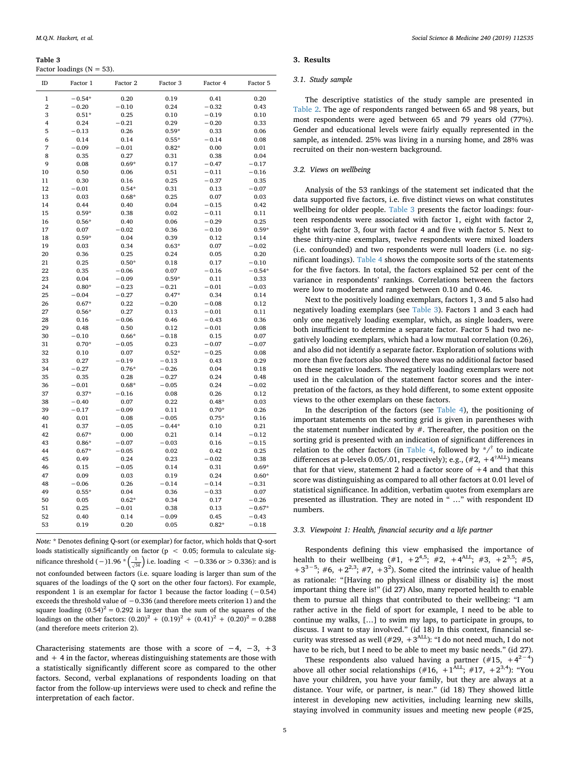<span id="page-4-0"></span>**Table 3**

Factor loadings  $(N = 53)$ .

| ID             | Factor 1 | Factor 2       | Factor 3 | Factor 4 | Factor 5 |
|----------------|----------|----------------|----------|----------|----------|
| $\mathbf{1}$   | $-0.54*$ | 0.20           | 0.19     | 0.41     | 0.20     |
| $\overline{2}$ | $-0.20$  | $-0.10$        | 0.24     | $-0.32$  | 0.43     |
| 3              | $0.51*$  | 0.25           | 0.10     | $-0.19$  | 0.10     |
| 4              | 0.24     | $-0.21$        | 0.29     | $-0.20$  | 0.33     |
| 5              | $-0.13$  | 0.26           | $0.59*$  | 0.33     | 0.06     |
| 6              | 0.14     | 0.14           | $0.55*$  | $-0.14$  | 0.08     |
| 7              | $-0.09$  | $-0.01$        | $0.82*$  | 0.00     | 0.01     |
| 8              | 0.35     | 0.27           | 0.31     | 0.38     | 0.04     |
| 9              | 0.08     | $0.69*$        | 0.17     | $-0.47$  | $-0.17$  |
| 10             | 0.50     | 0.06           | 0.51     | $-0.11$  | $-0.16$  |
| 11             | 0.30     | 0.16           | 0.25     | $-0.37$  | 0.35     |
| 12             | $-0.01$  | $0.54*$        | 0.31     | 0.13     | $-0.07$  |
| 13             | 0.03     | $0.68*$        | 0.25     | 0.07     | 0.03     |
| 14             | 0.44     | 0.40           | 0.04     | $-0.15$  | 0.42     |
| 15             | $0.59*$  | 0.38           | 0.02     | $-0.11$  | 0.11     |
| 16             | $0.56*$  | 0.40           | 0.06     | $-0.29$  | 0.25     |
| 17             | 0.07     | $-0.02$        | 0.36     | $-0.10$  | $0.59*$  |
| 18             | $0.59*$  | 0.04           | 0.39     | 0.12     | 0.14     |
| 19             | 0.03     | 0.34           | $0.63*$  | 0.07     | $-0.02$  |
| 20             | 0.36     | 0.25           | 0.24     | 0.05     | 0.20     |
| 21             | 0.25     | $0.50*$        | 0.18     | 0.17     | $-0.10$  |
| 22             | 0.35     | $-0.06$        | 0.07     | $-0.16$  | $-0.54*$ |
| 23             | 0.04     | $-0.09$        | $0.59*$  | 0.11     | 0.33     |
| 24             | $0.80*$  | $-0.23$        | $-0.21$  | $-0.01$  | $-0.03$  |
| 25             | $-0.04$  | $-0.27$        | $0.47*$  | 0.34     | 0.14     |
| 26             | $0.67*$  | 0.22           | $-0.20$  | $-0.08$  | 0.12     |
| 27             | $0.56*$  | 0.27           | 0.13     | $-0.01$  | 0.11     |
| 28             | 0.16     | $-0.06$        | 0.46     | $-0.43$  | 0.36     |
| 29             | 0.48     | 0.50           | 0.12     | $-0.01$  | 0.08     |
| 30             | $-0.10$  | $0.66*$        | $-0.18$  | 0.15     | 0.07     |
| 31             | $0.70*$  | $-0.05$        | 0.23     | $-0.07$  | $-0.07$  |
| 32             | 0.10     | 0.07           | $0.52*$  | $-0.25$  | 0.08     |
| 33             | 0.27     | $-0.19$        | $-0.13$  | 0.43     | 0.29     |
| 34             | $-0.27$  | $0.76*$        | $-0.26$  | 0.04     | 0.18     |
| 35             | 0.35     | 0.28           | $-0.27$  | 0.24     | 0.48     |
| 36             | $-0.01$  | $0.68*$        | $-0.05$  | 0.24     | $-0.02$  |
| 37             | $0.37*$  | $-0.16$        | 0.08     | 0.26     | 0.12     |
| 38             | $-0.40$  | 0.07           | 0.22     | $0.48*$  | 0.03     |
| 39             | $-0.17$  | $-0.09$        | 0.11     | $0.70*$  | 0.26     |
| 40             | 0.01     | 0.08           | $-0.05$  | $0.75*$  | 0.16     |
| 41             | 0.37     | $-0.05$        | $-0.44*$ | 0.10     | 0.21     |
| 42             | $0.67*$  | 0.00           | 0.21     | 0.14     | $-0.12$  |
| 43             | $0.86*$  | $-0.07$        | $-0.03$  | 0.16     | $-0.15$  |
| 44             | $0.67*$  | $-0.05$        | 0.02     | 0.42     | 0.25     |
| 45             | 0.49     | 0.24           | 0.23     | $-0.02$  | 0.38     |
| 46             | 0.15     | $-0.05$        | 0.14     | 0.31     | $0.69*$  |
| 47             | 0.09     | 0.03           | 0.19     | 0.24     | $0.60*$  |
| 48             | $-0.06$  | 0.26           | $-0.14$  | $-0.14$  | $-0.31$  |
| 49             | $0.55*$  | 0.04           | 0.36     | $-0.33$  | 0.07     |
| 50             | 0.05     | $0.62*$        | 0.34     | 0.17     | $-0.26$  |
| 51             | 0.25     | $^{\rm -0.01}$ | 0.38     | 0.13     | $-0.67*$ |
| 52             | 0.40     | 0.14           | $-0.09$  | 0.45     | $-0.43$  |
| 53             | 0.19     | 0.20           | 0.05     | $0.82*$  | $-0.18$  |

*Note:* \* Denotes defining Q-sort (or exemplar) for factor, which holds that Q-sort loads statistically significantly on factor ( $p < 0.05$ ; formula to calculate significance threshold (−)1.96  $\ast \left( \frac{1}{\sqrt{34}} \right)$  i.e. loading < -0.336 or > 0.336): and is not confounded between factors (i.e. square loading is larger than sum of the squares of the loadings of the Q sort on the other four factors). For example, respondent 1 is an exemplar for factor 1 because the factor loading (−0.54) exceeds the threshold value of −0.336 (and therefore meets criterion 1) and the square loading  $(0.54)^2 = 0.292$  is larger than the sum of the squares of the loadings on the other factors:  $(0.20)^2 + (0.19)^2 + (0.41)^2 + (0.20)^2 = 0.288$ (and therefore meets criterion 2).

Characterising statements are those with a score of  $-4$ ,  $-3$ ,  $+3$ and  $+4$  in the factor, whereas distinguishing statements are those with a statistically significantly different score as compared to the other factors. Second, verbal explanations of respondents loading on that factor from the follow-up interviews were used to check and refine the interpretation of each factor.

# **3. Results**

#### *3.1. Study sample*

The descriptive statistics of the study sample are presented in [Table 2](#page-3-1). The age of respondents ranged between 65 and 98 years, but most respondents were aged between 65 and 79 years old (77%). Gender and educational levels were fairly equally represented in the sample, as intended. 25% was living in a nursing home, and 28% was recruited on their non-western background.

#### *3.2. Views on wellbeing*

Analysis of the 53 rankings of the statement set indicated that the data supported five factors, i.e. five distinct views on what constitutes wellbeing for older people. [Table 3](#page-4-0) presents the factor loadings: fourteen respondents were associated with factor 1, eight with factor 2, eight with factor 3, four with factor 4 and five with factor 5. Next to these thirty-nine exemplars, twelve respondents were mixed loaders (i.e. confounded) and two respondents were null loaders (i.e. no significant loadings). [Table 4](#page-5-0) shows the composite sorts of the statements for the five factors. In total, the factors explained 52 per cent of the variance in respondents' rankings. Correlations between the factors were low to moderate and ranged between 0.10 and 0.46.

Next to the positively loading exemplars, factors 1, 3 and 5 also had negatively loading exemplars (see [Table 3\)](#page-4-0). Factors 1 and 3 each had only one negatively loading exemplar, which, as single loaders, were both insufficient to determine a separate factor. Factor 5 had two negatively loading exemplars, which had a low mutual correlation (0.26), and also did not identify a separate factor. Exploration of solutions with more than five factors also showed there was no additional factor based on these negative loaders. The negatively loading exemplars were not used in the calculation of the statement factor scores and the interpretation of the factors, as they hold different, to some extent opposite views to the other exemplars on these factors.

In the description of the factors (see [Table 4](#page-5-0)), the positioning of important statements on the sorting grid is given in parentheses with the statement number indicated by #. Thereafter, the position on the sorting grid is presented with an indication of significant differences in relation to the other factors (in [Table 4,](#page-5-0) followed by  $*\ell^{\dagger}$  to indicate differences at p-levels 0.05/.01, respectively); e.g.,  $(\#2, +4^{\dagger {\rm ALL}})$  means that for that view, statement 2 had a factor score of  $+4$  and that this score was distinguishing as compared to all other factors at 0.01 level of statistical significance. In addition, verbatim quotes from exemplars are presented as illustration. They are noted in " …" with respondent ID numbers.

#### *3.3. Viewpoint 1: Health, financial security and a life partner*

Respondents defining this view emphasised the importance of health to their wellbeing (#1, +2<sup>4,5</sup>; #2, +4<sup>ALL</sup>; #3, +2<sup>3,5</sup>; #5,  $+3^{3-5}$ ; #6,  $+2^{2,3}$ ; #7,  $+3^{2}$ ). Some cited the intrinsic value of health as rationale: "[Having no physical illness or disability is] the most important thing there is!" (id 27) Also, many reported health to enable them to pursue all things that contributed to their wellbeing: "I am rather active in the field of sport for example, I need to be able to continue my walks, […] to swim my laps, to participate in groups, to discuss. I want to stay involved." (id 18) In this context, financial security was stressed as well (#29,  $+3$ <sup>ALL</sup>): "I do not need much, I do not have to be rich, but I need to be able to meet my basic needs." (id 27).

These respondents also valued having a partner (#15,  $+4^{2-4}$ ) above all other social relationships (#16,  $+1$ <sup>ALL</sup>; #17,  $+2^{3,4}$ ): "You have your children, you have your family, but they are always at a distance. Your wife, or partner, is near." (id 18) They showed little interest in developing new activities, including learning new skills, staying involved in community issues and meeting new people (#25,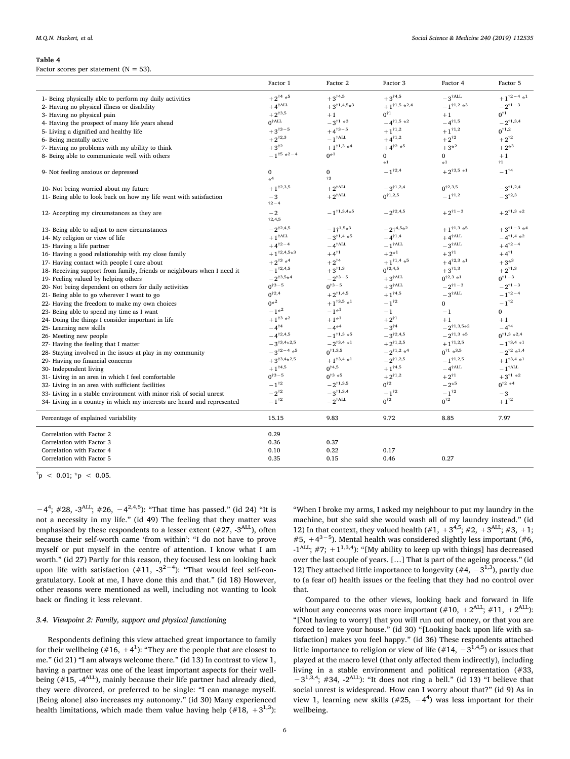#### <span id="page-5-0"></span>**Table 4**

Factor scores per statement ( $N = 53$ ).

|                                                                         | Factor 1                      | Factor 2                                                       | Factor 3                           | Factor 4                            | Factor 5                          |
|-------------------------------------------------------------------------|-------------------------------|----------------------------------------------------------------|------------------------------------|-------------------------------------|-----------------------------------|
| 1- Being physically able to perform my daily activities                 | $+2^{14}*5$                   | $+3^{+4,5}$                                                    | $+3^{+4,5}$                        | $-3$ <sup>†ALL</sup>                | $+1^{12-4}$ *1                    |
| 2- Having no physical illness or disability                             | $+4$ <sup>†ALL</sup>          | $+3^{\dagger1,4,5*3}$                                          | $+1^{\dagger1,5}$ *2.4             | $-1^{+1,2\;\; \star3}$              | $-2^{+1-3}$                       |
| 3- Having no physical pain                                              | $+2^{\dagger 3,5}$            | $+1$                                                           | $0^{\dagger 1}$                    | $+1$                                | $0^{\dagger 1}$                   |
| 4- Having the prospect of many life years ahead                         | $0^{\dagger {\rm ALL}}$       | $-3^{\dagger 1} *3$                                            | $-4^{\dagger1,5}$ *2               | $-4$ <sup>†1,5</sup>                | $-2^{1,3,4}$                      |
| 5- Living a dignified and healthy life                                  | $+3^{+3-5}$                   | $+4^{+3-5}$                                                    | $+ \, 1^{\dagger1,2}$              | $+1$ <sup>†1,2</sup>                | $0^{+1,2}$                        |
| 6- Being mentally active                                                | $+2^{\dagger 2,3}$            | $-1$ <sup>†ALL</sup>                                           | $+4^{+1,2}$                        | $+2^{12}$                           | $+2^{12}$                         |
| 7- Having no problems with my ability to think                          | $+3^{12}$                     | $+$ $1^{\dagger1,3}$ $*^4$                                     | $+$ 4 $^{\dagger2}$ * <sup>5</sup> | $+3*^{2}$                           | $+2^{*3}$                         |
| 8- Being able to communicate well with others                           | $-1$ <sup>†5</sup> *2-4       | $0*1$                                                          | $\Omega$                           | $\Omega$                            | $+1$                              |
|                                                                         |                               |                                                                | $*1$                               | $\star 1$                           | $\ddagger 1$                      |
| 9- Not feeling anxious or depressed                                     | $\mathbf{0}$<br>$*4$          | $\mathbf{0}$<br>$+3$                                           | $-1$ <sup>+2,4</sup>               | $+ \, 2^{\dagger 3,5}$ $^{\star 1}$ | $-1^{+4}$                         |
| 10- Not being worried about my future                                   | $+1^{\ddagger2,3,5}$          | $+2$ <sup>†ALL</sup>                                           | $-3^{+1,2,4}$                      | $0^{4,2,3,5}$                       | $-3^{\dagger1,2,4}$               |
| 11- Being able to look back on how my life went with satisfaction       | $-3$                          | $+ \, 2^{\dagger {\rm ALL}}$                                   | $0^{1,2,5}$                        | $-1$ <sup>†1,2</sup>                | $-3^{12,3}$                       |
|                                                                         | $12 - 4$                      |                                                                |                                    |                                     |                                   |
| 12- Accepting my circumstances as they are                              | $-2$<br>12, 4, 5              | $-1$ <sup>†1,3,4</sup> * <sup>5</sup>                          | $-2^{\dagger 2,4,5}$               | $+2^{+1-3}$                         | $+2^{\dagger1,3}$ *2              |
| 13- Being able to adjust to new circumstances                           | $-2^{\dagger 2,4,5}$          | $-1+1.5+3$                                                     | $-2i^{4,5*2}$                      | $+1^{\dagger1,3}$ * <sup>5</sup>    | $+3^{11-3}$ * <sup>4</sup>        |
| 14- My religion or view of life                                         | $+1$ <sup>†ALL</sup>          | $-3^{\dagger1,4}$ * <sup>5</sup>                               | $-4^{+1,4}$                        | $+4$ <sup>†ALL</sup>                | $-4^{\dagger1,4}$ * <sup>2</sup>  |
| 15- Having a life partner                                               | $+4^{12-4}$                   | $- \, 4^{\dagger {\rm ALL}}$                                   | $- \, 1^{\dagger {\rm ALL}}$       | $- \, 3^{\dagger {\rm ALL}}$        | $+4^{+2-4}$                       |
| 16- Having a good relationship with my close family                     | $+1^{\dagger 2,4,5*3}$        | $+4^{+1}$                                                      | $+2^{*1}$                          | $+3^{+1}$                           | $+4^{+1}$                         |
| 17- Having contact with people I care about                             | $+2^{13}*4$                   | $+2^{+4}$                                                      | $+1^{\dagger1,4}$ *5               | $+4^{\dagger 2,3}$ *1               | $+3^{*3}$                         |
| 18- Receiving support from family, friends or neighbours when I need it | $-1$ <sup>+2,4,5</sup>        | $+3^{+1,3}$                                                    | $0^{12,4,5}$                       | $+ \, 3^{\dagger1,3}$               | $+2^{\dagger1,3}$                 |
| 19- Feeling valued by helping others                                    | $-2^{\dagger 3,5_*4}$         | $-2^{13-5}$                                                    | $+ \, 3^{\dagger {\rm ALL}}$       | $0^{12,3}$ $*1$                     | $0^{1-3}$                         |
| 20- Not being dependent on others for daily activities                  | $0^{13-5}$                    | $0^{13-5}$                                                     | $+3$ <sup>†ALL</sup>               | $-2^{+1-3}$                         | $-2^{+1-3}$                       |
| 21- Being able to go wherever I want to go                              | $0^{12,4}$                    | $+2$ <sup>†1,4,5</sup>                                         | $+1^{+4,5}$                        | $-3$ <sup>†ALL</sup>                | $-1$ <sup>+2-4</sup>              |
| 22- Having the freedom to make my own choices                           | $0^{*2}$                      | $+ \, 1^{ \hspace{0.1em} \ddagger 3,5 \hspace{0.1em} \ast 1 }$ | $-1^{+2}$                          | $\Omega$                            | $-1^{12}$                         |
| 23- Being able to spend my time as I want                               | $-1*2$                        | $-1*1$                                                         | $-1$                               | $-1$                                | $\Omega$                          |
| 24- Doing the things I consider important in life                       | $+ \, 1^{\dagger 3}$ *2       | $+1^{*1}$                                                      | $+2^{+1}$                          | $+1$                                | $+1$                              |
| 25- Learning new skills                                                 | $-4^{+4}$                     | $-4*^{4}$                                                      | $-3^{14}$                          | $-2^{\dagger 1,3,5}$ * <sup>2</sup> | $-4^{+4}$                         |
| 26- Meeting new people                                                  | $-4^{\dagger2,4,5}$           | $-1$ <sup>†1,3</sup> * <sup>5</sup>                            | $-3^{\dagger2,4,5}$                | $-2^{\dagger 1,3}$ * <sup>5</sup>   | $0^{1,3}$ $*^{2,4}$               |
| 27- Having the feeling that I matter                                    | $-3^{\dagger 3,4}$ * 2,5      | $-2^{\dagger 3,4}$ *1                                          | $+2$ <sup>†1,2,5</sup>             | $+ \, 1^{\dagger1,2,5}$             | $-1^{13,4}$ $*^1$                 |
| 28- Staying involved in the issues at play in my community              | $-3^{12-4}$ * <sup>5</sup>    | $0^{+1,3,5}$                                                   | $-2^{\dagger 1,2}$ * <sup>4</sup>  | $0^{+1}$ $*^{3,5}$                  | $-2^{12}$ $*^{1,4}$               |
| 29- Having no financial concerns                                        | $+3^{\dagger 3,4}$ $\ast$ 2.5 | $+ \, 1^{ \dagger 3 , 4}$ $*^1$                                | $-2^{1,2,5}$                       | $-1$ <sup>†1,2,5</sup>              | $+1^{\dagger 3,4}$ * <sup>1</sup> |
| 30- Independent living                                                  | $+1^{+4,5}$                   | $0^{+4,5}$                                                     | $+1^{+4,5}$                        | $-4$ <sup>†ALL</sup>                | $-1$ <sup>†ALL</sup>              |
| 31- Living in an area in which I feel comfortable                       | $0^{3-5}$                     | $0^{13}$ * <sup>5</sup>                                        | $+2$ <sup>†1,2</sup>               | $+2^{+1}$                           | $+ \, 3^{\dagger1} \,$ *2         |
| 32- Living in an area with sufficient facilities                        | $-1^{+2}$                     | $-2^{1,3,5}$                                                   | $0^{12}$                           | $-2^{*5}$                           | $0^{12}$ * <sup>4</sup>           |
| 33- Living in a stable environment with minor risk of social unrest     | $-2^{\dagger 2}$              | $-3^{\dagger 1,3,4}$                                           | $-1^{\dagger 2}$                   | $-1^{12}$                           | $-3$                              |
| 34- Living in a country in which my interests are heard and represented | $-1^{12}$                     | $-2$ <sup>†ALL</sup>                                           | $0^{12}$                           | $0^{12}$                            | $+ \, 1^{\dagger 2}$              |
| Percentage of explained variability                                     | 15.15                         | 9.83                                                           | 9.72                               | 8.85                                | 7.97                              |
| Correlation with Factor 2                                               | 0.29                          |                                                                |                                    |                                     |                                   |
| Correlation with Factor 3                                               | 0.36                          | 0.37                                                           |                                    |                                     |                                   |
| Correlation with Factor 4                                               | 0.10                          | 0.22                                                           | 0.17                               |                                     |                                   |
| Correlation with Factor 5                                               | 0.35                          | 0.15                                                           | 0.46                               | 0.27                                |                                   |

 $\rm ^{\dagger} p$  < 0.01;  $\rm ^{\star} p$  < 0.05.

 $-4^4$ ; #28,  $-3^{\text{ALL}}$ ; #26,  $-4^{2,4,5}$ ): "That time has passed." (id 24) "It is not a necessity in my life." (id 49) The feeling that they matter was emphasised by these respondents to a lesser extent (#27, -3<sup>ALL</sup>), often because their self-worth came 'from within': "I do not have to prove myself or put myself in the centre of attention. I know what I am worth." (id 27) Partly for this reason, they focused less on looking back upon life with satisfaction (#11, -3<sup>2-4</sup>): "That would feel self-congratulatory. Look at me, I have done this and that." (id 18) However, other reasons were mentioned as well, including not wanting to look back or finding it less relevant.

# *3.4. Viewpoint 2: Family, support and physical functioning*

Respondents defining this view attached great importance to family for their wellbeing  $(\#16, +4^1)$ : "They are the people that are closest to me." (id 21) "I am always welcome there." (id 13) In contrast to view 1, having a partner was one of the least important aspects for their wellbeing  $(\#15, -4^{ALL})$ , mainly because their life partner had already died, they were divorced, or preferred to be single: "I can manage myself. [Being alone] also increases my autonomy." (id 30) Many experienced health limitations, which made them value having help (#18,  $+3^{1,3}$ ):

"When I broke my arms, I asked my neighbour to put my laundry in the machine, but she said she would wash all of my laundry instead." (id 12) In that context, they valued health  $(\#1, +3^{4,5}; \#2, +3^{ALL}; \#3, +1;$ #5,  $+4^{3-5}$ ). Mental health was considered slightly less important (#6,  $-1$ <sup>ALL</sup>; #7;  $+1$ <sup>1,3,4</sup>): "[My ability to keep up with things] has decreased over the last couple of years. […] That is part of the ageing process." (id 12) They attached little importance to longevity (#4,  $-3^{1,3}$ ), partly due to (a fear of) health issues or the feeling that they had no control over that.

Compared to the other views, looking back and forward in life without any concerns was more important (#10,  $+2$ <sup>ALL</sup>; #11,  $+2$ <sup>ALL</sup>): "[Not having to worry] that you will run out of money, or that you are forced to leave your house." (id 30) "[Looking back upon life with satisfaction] makes you feel happy." (id 36) These respondents attached little importance to religion or view of life (#14,  $-3^{1,4,5}$ ) or issues that played at the macro level (that only affected them indirectly), including living in a stable environment and political representation (#33,  $-3^{1,3,4}$ ; #34, -2<sup>ALL</sup>): "It does not ring a bell." (id 13) "I believe that social unrest is widespread. How can I worry about that?" (id 9) As in view 1, learning new skills (#25,  $-4<sup>4</sup>$ ) was less important for their wellbeing.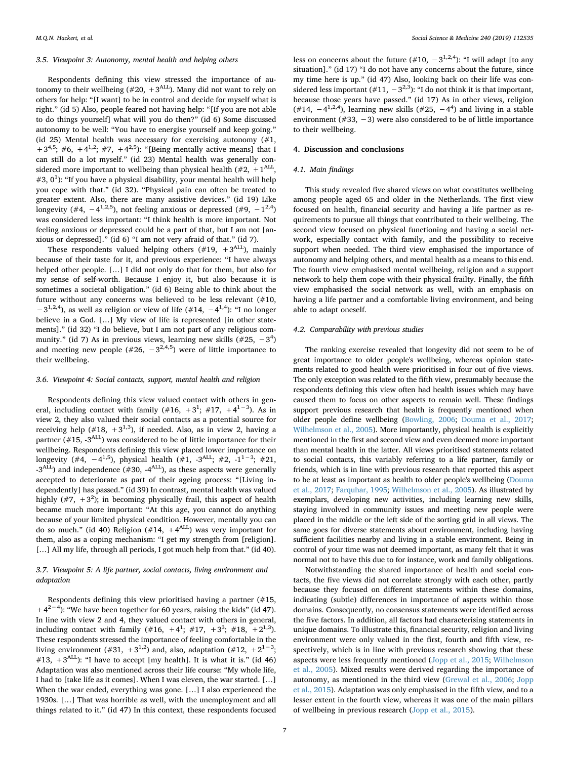#### *3.5. Viewpoint 3: Autonomy, mental health and helping others*

Respondents defining this view stressed the importance of autonomy to their wellbeing (#20,  $+3$ <sup>ALL</sup>). Many did not want to rely on others for help: "[I want] to be in control and decide for myself what is right." (id 5) Also, people feared not having help: "[If you are not able to do things yourself] what will you do then?" (id 6) Some discussed autonomy to be well: "You have to energise yourself and keep going." (id 25) Mental health was necessary for exercising autonomy (#1,  $+3^{4,5}$ ; #6,  $+4^{1,2}$ ; #7,  $+4^{2,5}$ ): "[Being mentally active means] that I can still do a lot myself." (id 23) Mental health was generally considered more important to wellbeing than physical health (#2,  $+1^{ALL}$ , #3, 0<sup>1</sup>): "If you have a physical disability, your mental health will help you cope with that." (id 32). "Physical pain can often be treated to greater extent. Also, there are many assistive devices." (id 19) Like longevity (#4,  $-4^{1,2,5}$ ), not feeling anxious or depressed (#9,  $-1^{2,4}$ ) was considered less important: "I think health is more important. Not feeling anxious or depressed could be a part of that, but I am not [anxious or depressed]." (id 6) "I am not very afraid of that." (id 7).

These respondents valued helping others  $(\#19, +3^{ALL})$ , mainly because of their taste for it, and previous experience: "I have always helped other people. […] I did not only do that for them, but also for my sense of self-worth. Because I enjoy it, but also because it is sometimes a societal obligation." (id 6) Being able to think about the future without any concerns was believed to be less relevant (#10,  $-3^{1,2,4}$ ), as well as religion or view of life (#14,  $-4^{1,4}$ ): "I no longer believe in a God. […] My view of life is represented [in other statements]." (id 32) "I do believe, but I am not part of any religious community." (id 7) As in previous views, learning new skills (#25,  $-3<sup>4</sup>$ ) and meeting new people (#26,  $-3^{2,4,5}$ ) were of little importance to their wellbeing.

#### *3.6. Viewpoint 4: Social contacts, support, mental health and religion*

Respondents defining this view valued contact with others in general, including contact with family  $(\#16, +3^1; \#17, +4^{1-3})$ . As in view 2, they also valued their social contacts as a potential source for receiving help (#18,  $+3^{1,3}$ ), if needed. Also, as in view 2, having a partner  $(*15, -3<sup>ALL</sup>)$  was considered to be of little importance for their wellbeing. Respondents defining this view placed lower importance on longevity (#4, -4<sup>1,5</sup>), physical health (#1, -3<sup>ALL</sup>; #2, -1<sup>1-3</sup>; #21,  $-3$ <sup>ALL</sup>) and independence (#30,  $-4$ <sup>ALL</sup>), as these aspects were generally accepted to deteriorate as part of their ageing process: "[Living independently] has passed." (id 39) In contrast, mental health was valued highly  $(\#7, +3^2)$ ; in becoming physically frail, this aspect of health became much more important: "At this age, you cannot do anything because of your limited physical condition. However, mentally you can do so much." (id 40) Religion (#14,  $+4$ <sup>ALL</sup>) was very important for them, also as a coping mechanism: "I get my strength from [religion]. [...] All my life, through all periods, I got much help from that." (id 40).

# *3.7. Viewpoint 5: A life partner, social contacts, living environment and adaptation*

Respondents defining this view prioritised having a partner (#15, +4<sup>2−4</sup>): "We have been together for 60 years, raising the kids" (id 47). In line with view 2 and 4, they valued contact with others in general, including contact with family  $(\#16, +4^1; \#17, +3^3; \#18, +2^{1,3})$ . These respondents stressed the importance of feeling comfortable in the living environment (#31, +3<sup>1,2</sup>) and, also, adaptation (#12, +2<sup>1-3</sup>; #13,  $+3$ <sup>ALL</sup>): "I have to accept [my health]. It is what it is." (id 46) Adaptation was also mentioned across their life course: "My whole life, I had to [take life as it comes]. When I was eleven, the war started. […] When the war ended, everything was gone. […] I also experienced the 1930s. […] That was horrible as well, with the unemployment and all things related to it." (id 47) In this context, these respondents focused

less on concerns about the future (#10,  $-3^{1,2,4}$ ): "I will adapt [to any situation]." (id 17) "I do not have any concerns about the future, since my time here is up." (id 47) Also, looking back on their life was considered less important (#11,  $-3^{2,3}$ ): "I do not think it is that important, because those years have passed." (id 17) As in other views, religion (#14,  $-4^{1,2,4}$ ), learning new skills (#25,  $-4^4$ ) and living in a stable environment (#33, -3) were also considered to be of little importance to their wellbeing.

# **4. Discussion and conclusions**

# *4.1. Main findings*

This study revealed five shared views on what constitutes wellbeing among people aged 65 and older in the Netherlands. The first view focused on health, financial security and having a life partner as requirements to pursue all things that contributed to their wellbeing. The second view focused on physical functioning and having a social network, especially contact with family, and the possibility to receive support when needed. The third view emphasised the importance of autonomy and helping others, and mental health as a means to this end. The fourth view emphasised mental wellbeing, religion and a support network to help them cope with their physical frailty. Finally, the fifth view emphasised the social network as well, with an emphasis on having a life partner and a comfortable living environment, and being able to adapt oneself.

### *4.2. Comparability with previous studies*

The ranking exercise revealed that longevity did not seem to be of great importance to older people's wellbeing, whereas opinion statements related to good health were prioritised in four out of five views. The only exception was related to the fifth view, presumably because the respondents defining this view often had health issues which may have caused them to focus on other aspects to remain well. These findings support previous research that health is frequently mentioned when older people define wellbeing [\(Bowling, 2006;](#page-8-15) [Douma et al., 2017](#page-8-16); [Wilhelmson et al., 2005\)](#page-8-7). More importantly, physical health is explicitly mentioned in the first and second view and even deemed more important than mental health in the latter. All views prioritised statements related to social contacts, this variably referring to a life partner, family or friends, which is in line with previous research that reported this aspect to be at least as important as health to older people's wellbeing ([Douma](#page-8-16) [et al., 2017](#page-8-16); [Farquhar, 1995;](#page-8-14) [Wilhelmson et al., 2005](#page-8-7)). As illustrated by exemplars, developing new activities, including learning new skills, staying involved in community issues and meeting new people were placed in the middle or the left side of the sorting grid in all views. The same goes for diverse statements about environment, including having sufficient facilities nearby and living in a stable environment. Being in control of your time was not deemed important, as many felt that it was normal not to have this due to for instance, work and family obligations.

Notwithstanding the shared importance of health and social contacts, the five views did not correlate strongly with each other, partly because they focused on different statements within these domains, indicating (subtle) differences in importance of aspects within those domains. Consequently, no consensus statements were identified across the five factors. In addition, all factors had characterising statements in unique domains. To illustrate this, financial security, religion and living environment were only valued in the first, fourth and fifth view, respectively, which is in line with previous research showing that these aspects were less frequently mentioned ([Jopp et al., 2015](#page-8-17); [Wilhelmson](#page-8-7) [et al., 2005\)](#page-8-7). Mixed results were derived regarding the importance of autonomy, as mentioned in the third view ([Grewal et al., 2006](#page-8-10); [Jopp](#page-8-17) [et al., 2015\)](#page-8-17). Adaptation was only emphasised in the fifth view, and to a lesser extent in the fourth view, whereas it was one of the main pillars of wellbeing in previous research ([Jopp et al., 2015](#page-8-17)).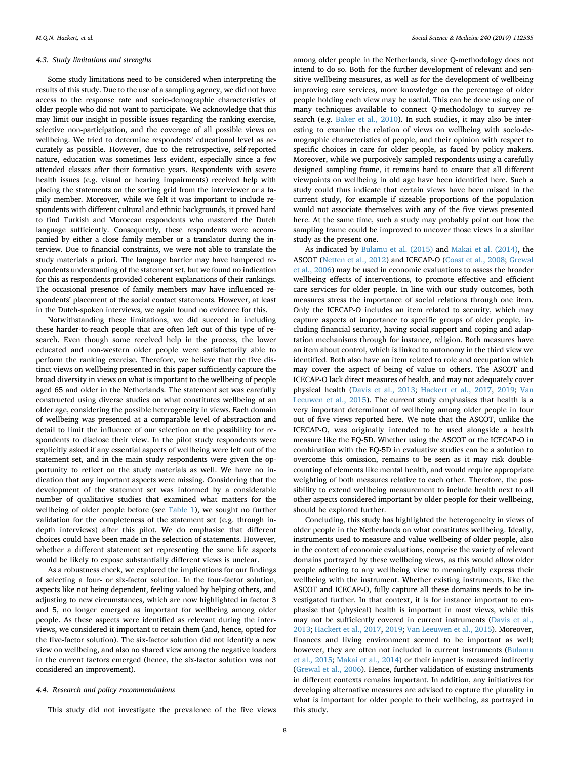#### *4.3. Study limitations and strengths*

Some study limitations need to be considered when interpreting the results of this study. Due to the use of a sampling agency, we did not have access to the response rate and socio-demographic characteristics of older people who did not want to participate. We acknowledge that this may limit our insight in possible issues regarding the ranking exercise, selective non-participation, and the coverage of all possible views on wellbeing. We tried to determine respondents' educational level as accurately as possible. However, due to the retrospective, self-reported nature, education was sometimes less evident, especially since a few attended classes after their formative years. Respondents with severe health issues (e.g. visual or hearing impairments) received help with placing the statements on the sorting grid from the interviewer or a family member. Moreover, while we felt it was important to include respondents with different cultural and ethnic backgrounds, it proved hard to find Turkish and Moroccan respondents who mastered the Dutch language sufficiently. Consequently, these respondents were accompanied by either a close family member or a translator during the interview. Due to financial constraints, we were not able to translate the study materials a priori. The language barrier may have hampered respondents understanding of the statement set, but we found no indication for this as respondents provided coherent explanations of their rankings. The occasional presence of family members may have influenced respondents' placement of the social contact statements. However, at least in the Dutch-spoken interviews, we again found no evidence for this.

Notwithstanding these limitations, we did succeed in including these harder-to-reach people that are often left out of this type of research. Even though some received help in the process, the lower educated and non-western older people were satisfactorily able to perform the ranking exercise. Therefore, we believe that the five distinct views on wellbeing presented in this paper sufficiently capture the broad diversity in views on what is important to the wellbeing of people aged 65 and older in the Netherlands. The statement set was carefully constructed using diverse studies on what constitutes wellbeing at an older age, considering the possible heterogeneity in views. Each domain of wellbeing was presented at a comparable level of abstraction and detail to limit the influence of our selection on the possibility for respondents to disclose their view. In the pilot study respondents were explicitly asked if any essential aspects of wellbeing were left out of the statement set, and in the main study respondents were given the opportunity to reflect on the study materials as well. We have no indication that any important aspects were missing. Considering that the development of the statement set was informed by a considerable number of qualitative studies that examined what matters for the wellbeing of older people before (see [Table 1](#page-1-1)), we sought no further validation for the completeness of the statement set (e.g. through indepth interviews) after this pilot. We do emphasise that different choices could have been made in the selection of statements. However, whether a different statement set representing the same life aspects would be likely to expose substantially different views is unclear.

As a robustness check, we explored the implications for our findings of selecting a four- or six-factor solution. In the four-factor solution, aspects like not being dependent, feeling valued by helping others, and adjusting to new circumstances, which are now highlighted in factor 3 and 5, no longer emerged as important for wellbeing among older people. As these aspects were identified as relevant during the interviews, we considered it important to retain them (and, hence, opted for the five-factor solution). The six-factor solution did not identify a new view on wellbeing, and also no shared view among the negative loaders in the current factors emerged (hence, the six-factor solution was not considered an improvement).

#### *4.4. Research and policy recommendations*

This study did not investigate the prevalence of the five views

among older people in the Netherlands, since Q-methodology does not intend to do so. Both for the further development of relevant and sensitive wellbeing measures, as well as for the development of wellbeing improving care services, more knowledge on the percentage of older people holding each view may be useful. This can be done using one of many techniques available to connect Q-methodology to survey research (e.g. [Baker et al., 2010\)](#page-8-33). In such studies, it may also be interesting to examine the relation of views on wellbeing with socio-demographic characteristics of people, and their opinion with respect to specific choices in care for older people, as faced by policy makers. Moreover, while we purposively sampled respondents using a carefully designed sampling frame, it remains hard to ensure that all different viewpoints on wellbeing in old age have been identified here. Such a study could thus indicate that certain views have been missed in the current study, for example if sizeable proportions of the population would not associate themselves with any of the five views presented here. At the same time, such a study may probably point out how the sampling frame could be improved to uncover those views in a similar study as the present one.

As indicated by [Bulamu et al. \(2015\)](#page-8-3) and [Makai et al. \(2014\)](#page-8-2), the ASCOT [\(Netten et al., 2012\)](#page-8-8) and ICECAP-O ([Coast et al., 2008;](#page-8-9) [Grewal](#page-8-10) [et al., 2006](#page-8-10)) may be used in economic evaluations to assess the broader wellbeing effects of interventions, to promote effective and efficient care services for older people. In line with our study outcomes, both measures stress the importance of social relations through one item. Only the ICECAP-O includes an item related to security, which may capture aspects of importance to specific groups of older people, including financial security, having social support and coping and adaptation mechanisms through for instance, religion. Both measures have an item about control, which is linked to autonomy in the third view we identified. Both also have an item related to role and occupation which may cover the aspect of being of value to others. The ASCOT and ICECAP-O lack direct measures of health, and may not adequately cover physical health [\(Davis et al., 2013;](#page-8-24) [Hackert et al., 2017](#page-8-21), [2019;](#page-8-22) [Van](#page-8-23) [Leeuwen et al., 2015\)](#page-8-23). The current study emphasises that health is a very important determinant of wellbeing among older people in four out of five views reported here. We note that the ASCOT, unlike the ICECAP-O, was originally intended to be used alongside a health measure like the EQ-5D. Whether using the ASCOT or the ICECAP-O in combination with the EQ-5D in evaluative studies can be a solution to overcome this omission, remains to be seen as it may risk doublecounting of elements like mental health, and would require appropriate weighting of both measures relative to each other. Therefore, the possibility to extend wellbeing measurement to include health next to all other aspects considered important by older people for their wellbeing, should be explored further.

Concluding, this study has highlighted the heterogeneity in views of older people in the Netherlands on what constitutes wellbeing. Ideally, instruments used to measure and value wellbeing of older people, also in the context of economic evaluations, comprise the variety of relevant domains portrayed by these wellbeing views, as this would allow older people adhering to any wellbeing view to meaningfully express their wellbeing with the instrument. Whether existing instruments, like the ASCOT and ICECAP-O, fully capture all these domains needs to be investigated further. In that context, it is for instance important to emphasise that (physical) health is important in most views, while this may not be sufficiently covered in current instruments ([Davis et al.,](#page-8-24) [2013;](#page-8-24) [Hackert et al., 2017](#page-8-21), [2019;](#page-8-22) [Van Leeuwen et al., 2015](#page-8-23)). Moreover, finances and living environment seemed to be important as well; however, they are often not included in current instruments ([Bulamu](#page-8-3) [et al., 2015](#page-8-3); [Makai et al., 2014](#page-8-2)) or their impact is measured indirectly ([Grewal et al., 2006\)](#page-8-10). Hence, further validation of existing instruments in different contexts remains important. In addition, any initiatives for developing alternative measures are advised to capture the plurality in what is important for older people to their wellbeing, as portrayed in this study.